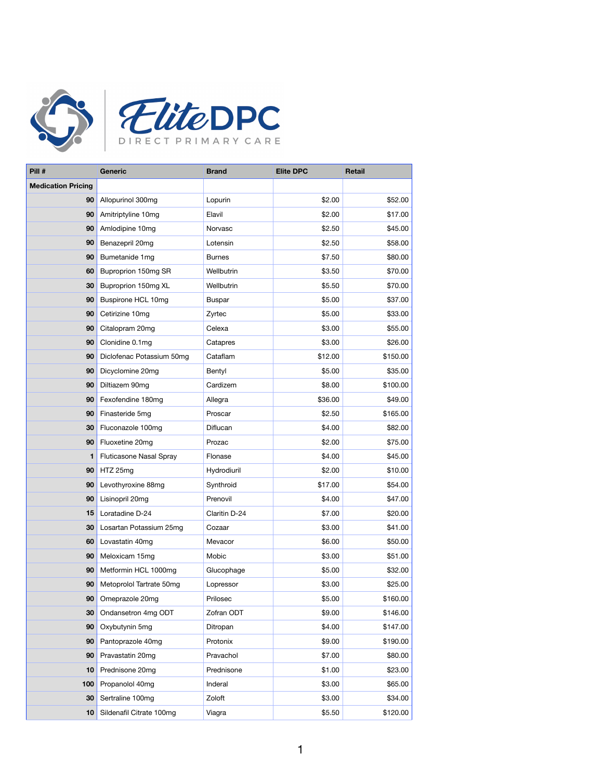



| Pill #                    | <b>Generic</b>                 | <b>Brand</b>  | <b>Elite DPC</b> | <b>Retail</b> |
|---------------------------|--------------------------------|---------------|------------------|---------------|
| <b>Medication Pricing</b> |                                |               |                  |               |
| 90                        | Allopurinol 300mg              | Lopurin       | \$2.00           | \$52.00       |
| 90                        | Amitriptyline 10mg             | Elavil        | \$2.00           | \$17.00       |
| 90                        | Amlodipine 10mg                | Norvasc       | \$2.50           | \$45.00       |
| 90                        | Benazepril 20mg                | Lotensin      | \$2.50           | \$58.00       |
| 90                        | Bumetanide 1mg                 | <b>Burnes</b> | \$7.50           | \$80.00       |
| 60                        | Buproprion 150mg SR            | Wellbutrin    | \$3.50           | \$70.00       |
| 30                        | Buproprion 150mg XL            | Wellbutrin    | \$5.50           | \$70.00       |
| 90                        | Buspirone HCL 10mg             | <b>Buspar</b> | \$5.00           | \$37.00       |
| 90                        | Cetirizine 10mg                | Zyrtec        | \$5.00           | \$33.00       |
| 90                        | Citalopram 20mg                | Celexa        | \$3.00           | \$55.00       |
| 90                        | Clonidine 0.1mg                | Catapres      | \$3.00           | \$26.00       |
| 90                        | Diclofenac Potassium 50mg      | Cataflam      | \$12.00          | \$150.00      |
| 90                        | Dicyclomine 20mg               | Bentyl        | \$5.00           | \$35.00       |
| 90                        | Diltiazem 90mg                 | Cardizem      | \$8.00           | \$100.00      |
| 90                        | Fexofendine 180mg              | Allegra       | \$36.00          | \$49.00       |
| 90                        | Finasteride 5mg                | Proscar       | \$2.50           | \$165.00      |
| 30                        | Fluconazole 100mg              | Diflucan      | \$4.00           | \$82.00       |
| 90                        | Fluoxetine 20mg                | Prozac        | \$2.00           | \$75.00       |
| 1                         | <b>Fluticasone Nasal Spray</b> | Flonase       | \$4.00           | \$45.00       |
| 90                        | HTZ 25mg                       | Hydrodiuril   | \$2.00           | \$10.00       |
| 90                        | Levothyroxine 88mg             | Synthroid     | \$17.00          | \$54.00       |
| 90                        | Lisinopril 20mg                | Prenovil      | \$4.00           | \$47.00       |
| 15                        | Loratadine D-24                | Claritin D-24 | \$7.00           | \$20.00       |
| 30                        | Losartan Potassium 25mg        | Cozaar        | \$3.00           | \$41.00       |
| 60                        | Lovastatin 40mg                | Mevacor       | \$6.00           | \$50.00       |
| 90                        | Meloxicam 15mg                 | Mobic         | \$3.00           | \$51.00       |
| 90                        | Metformin HCL 1000mg           | Glucophage    | \$5.00           | \$32.00       |
| 90                        | Metoprolol Tartrate 50mg       | Lopressor     | \$3.00           | \$25.00       |
| 90                        | Omeprazole 20mg                | Prilosec      | \$5.00           | \$160.00      |
| 30                        | Ondansetron 4mg ODT            | Zofran ODT    | \$9.00           | \$146.00      |
| 90                        | Oxybutynin 5mg                 | Ditropan      | \$4.00           | \$147.00      |
| 90                        | Pantoprazole 40mg              | Protonix      | \$9.00           | \$190.00      |
| 90                        | Pravastatin 20mg               | Pravachol     | \$7.00           | \$80.00       |
| 10                        | Prednisone 20mg                | Prednisone    | \$1.00           | \$23.00       |
| 100                       | Propanolol 40mg                | Inderal       | \$3.00           | \$65.00       |
| 30                        | Sertraline 100mg               | Zoloft        | \$3.00           | \$34.00       |
|                           | 10 Sildenafil Citrate 100mg    | Viagra        | \$5.50           | \$120.00      |